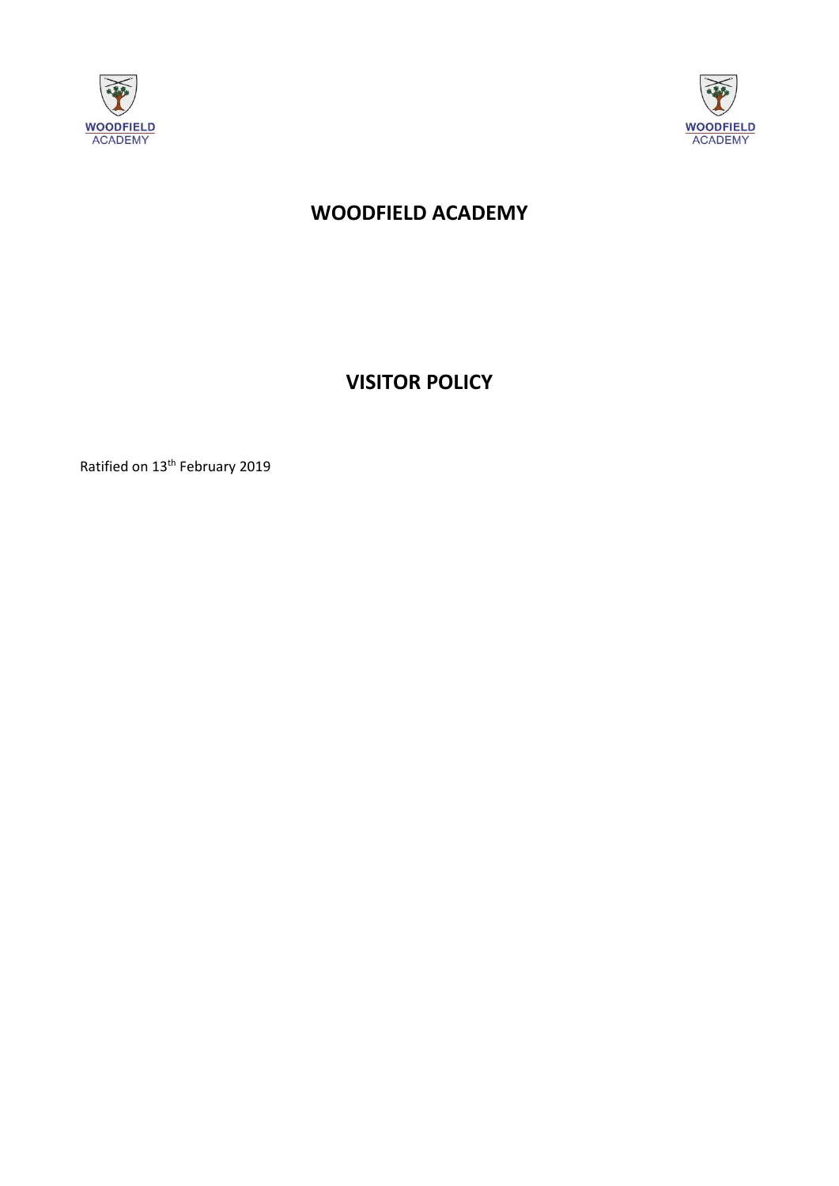



# **WOODFIELD ACADEMY**

**VISITOR POLICY**

Ratified on 13<sup>th</sup> February 2019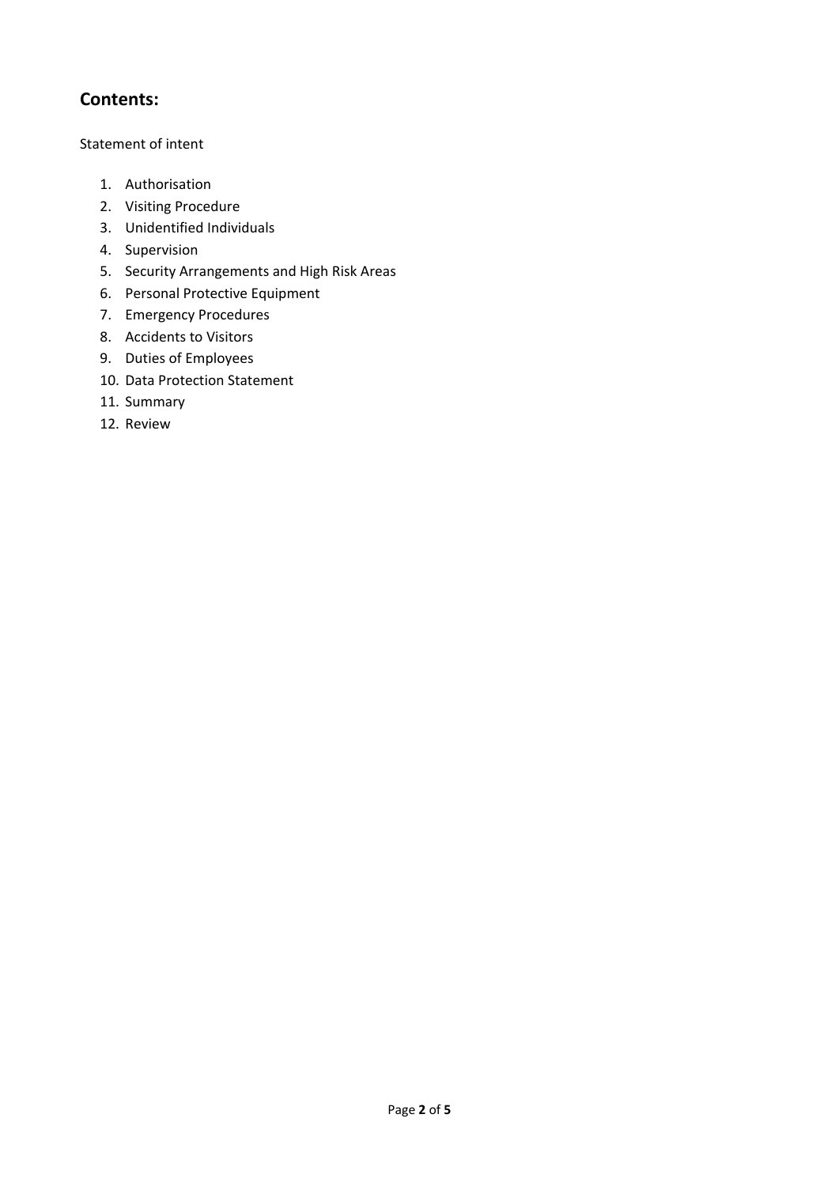# **Contents:**

# Statement of intent

- 1. Authorisation
- 2. Visiting Procedure
- 3. Unidentified Individuals
- 4. Supervision
- 5. Security Arrangements and High Risk Areas
- 6. Personal Protective Equipment
- 7. Emergency Procedures
- 8. Accidents to Visitors
- 9. Duties of Employees
- 10. Data Protection Statement
- 11. Summary
- 12. Review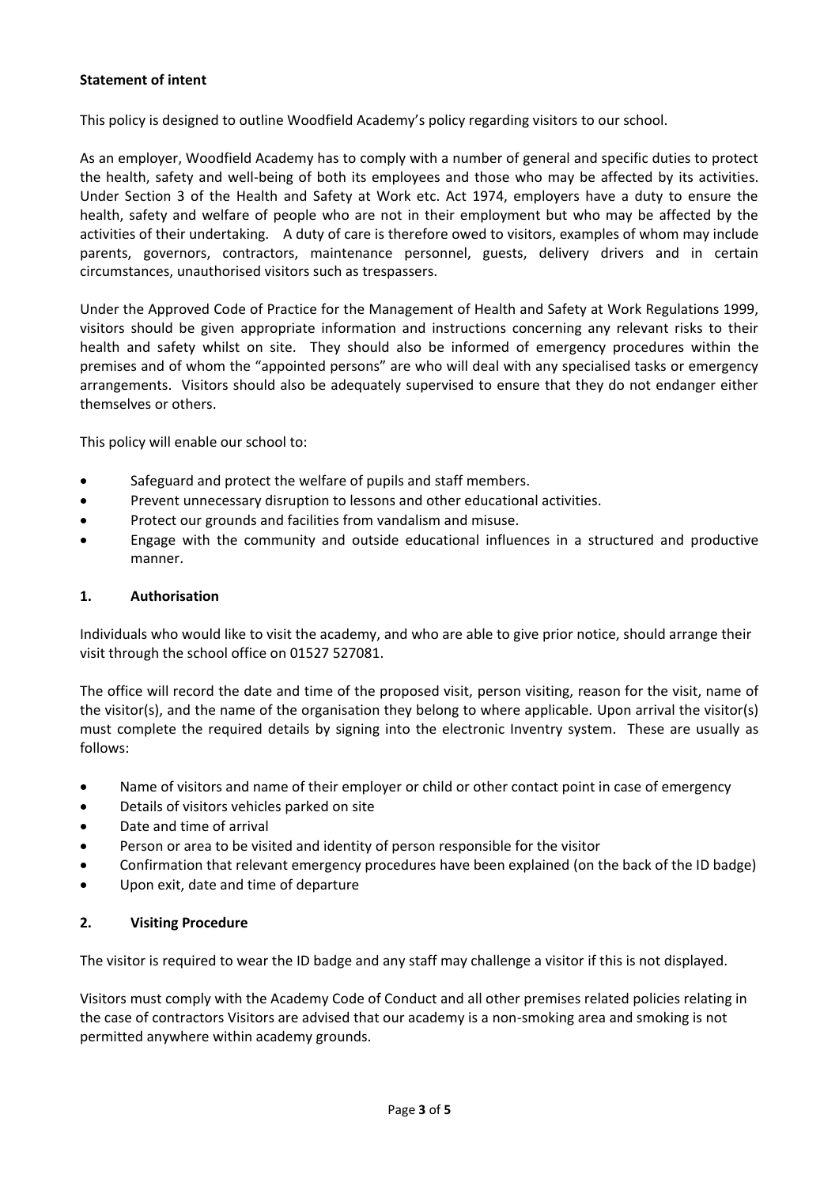# **Statement of intent**

This policy is designed to outline Woodfield Academy's policy regarding visitors to our school.

As an employer, Woodfield Academy has to comply with a number of general and specific duties to protect the health, safety and well-being of both its employees and those who may be affected by its activities. Under Section 3 of the Health and Safety at Work etc. Act 1974, employers have a duty to ensure the health, safety and welfare of people who are not in their employment but who may be affected by the activities of their undertaking. A duty of care is therefore owed to visitors, examples of whom may include parents, governors, contractors, maintenance personnel, guests, delivery drivers and in certain circumstances, unauthorised visitors such as trespassers.

Under the Approved Code of Practice for the Management of Health and Safety at Work Regulations 1999, visitors should be given appropriate information and instructions concerning any relevant risks to their health and safety whilst on site. They should also be informed of emergency procedures within the premises and of whom the "appointed persons" are who will deal with any specialised tasks or emergency arrangements. Visitors should also be adequately supervised to ensure that they do not endanger either themselves or others.

This policy will enable our school to:

- Safeguard and protect the welfare of pupils and staff members.
- Prevent unnecessary disruption to lessons and other educational activities.
- Protect our grounds and facilities from vandalism and misuse.
- Engage with the community and outside educational influences in a structured and productive manner.

#### **1. Authorisation**

Individuals who would like to visit the academy, and who are able to give prior notice, should arrange their visit through the school office on 01527 527081.

The office will record the date and time of the proposed visit, person visiting, reason for the visit, name of the visitor(s), and the name of the organisation they belong to where applicable. Upon arrival the visitor(s) must complete the required details by signing into the electronic Inventry system. These are usually as follows:

- Name of visitors and name of their employer or child or other contact point in case of emergency
- Details of visitors vehicles parked on site
- Date and time of arrival
- Person or area to be visited and identity of person responsible for the visitor
- Confirmation that relevant emergency procedures have been explained (on the back of the ID badge)
- Upon exit, date and time of departure

#### **2. Visiting Procedure**

The visitor is required to wear the ID badge and any staff may challenge a visitor if this is not displayed.

Visitors must comply with the Academy Code of Conduct and all other premises related policies relating in the case of contractors Visitors are advised that our academy is a non-smoking area and smoking is not permitted anywhere within academy grounds.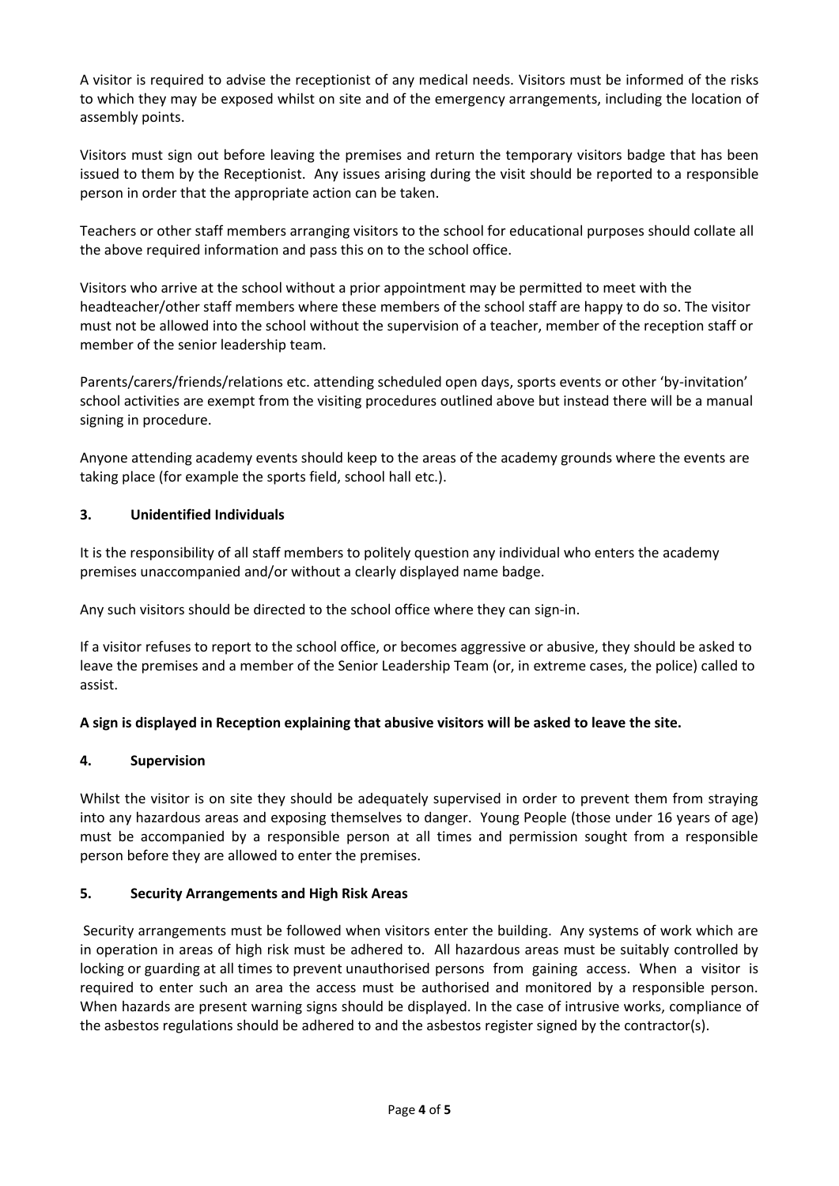A visitor is required to advise the receptionist of any medical needs. Visitors must be informed of the risks to which they may be exposed whilst on site and of the emergency arrangements, including the location of assembly points.

Visitors must sign out before leaving the premises and return the temporary visitors badge that has been issued to them by the Receptionist. Any issues arising during the visit should be reported to a responsible person in order that the appropriate action can be taken.

Teachers or other staff members arranging visitors to the school for educational purposes should collate all the above required information and pass this on to the school office.

Visitors who arrive at the school without a prior appointment may be permitted to meet with the headteacher/other staff members where these members of the school staff are happy to do so. The visitor must not be allowed into the school without the supervision of a teacher, member of the reception staff or member of the senior leadership team.

Parents/carers/friends/relations etc. attending scheduled open days, sports events or other 'by-invitation' school activities are exempt from the visiting procedures outlined above but instead there will be a manual signing in procedure.

Anyone attending academy events should keep to the areas of the academy grounds where the events are taking place (for example the sports field, school hall etc.).

# **3. Unidentified Individuals**

It is the responsibility of all staff members to politely question any individual who enters the academy premises unaccompanied and/or without a clearly displayed name badge.

Any such visitors should be directed to the school office where they can sign-in.

If a visitor refuses to report to the school office, or becomes aggressive or abusive, they should be asked to leave the premises and a member of the Senior Leadership Team (or, in extreme cases, the police) called to assist.

# **A sign is displayed in Reception explaining that abusive visitors will be asked to leave the site.**

# **4. Supervision**

Whilst the visitor is on site they should be adequately supervised in order to prevent them from straying into any hazardous areas and exposing themselves to danger. Young People (those under 16 years of age) must be accompanied by a responsible person at all times and permission sought from a responsible person before they are allowed to enter the premises.

# **5. Security Arrangements and High Risk Areas**

Security arrangements must be followed when visitors enter the building. Any systems of work which are in operation in areas of high risk must be adhered to. All hazardous areas must be suitably controlled by locking or guarding at all times to prevent unauthorised persons from gaining access. When a visitor is required to enter such an area the access must be authorised and monitored by a responsible person. When hazards are present warning signs should be displayed. In the case of intrusive works, compliance of the asbestos regulations should be adhered to and the asbestos register signed by the contractor(s).